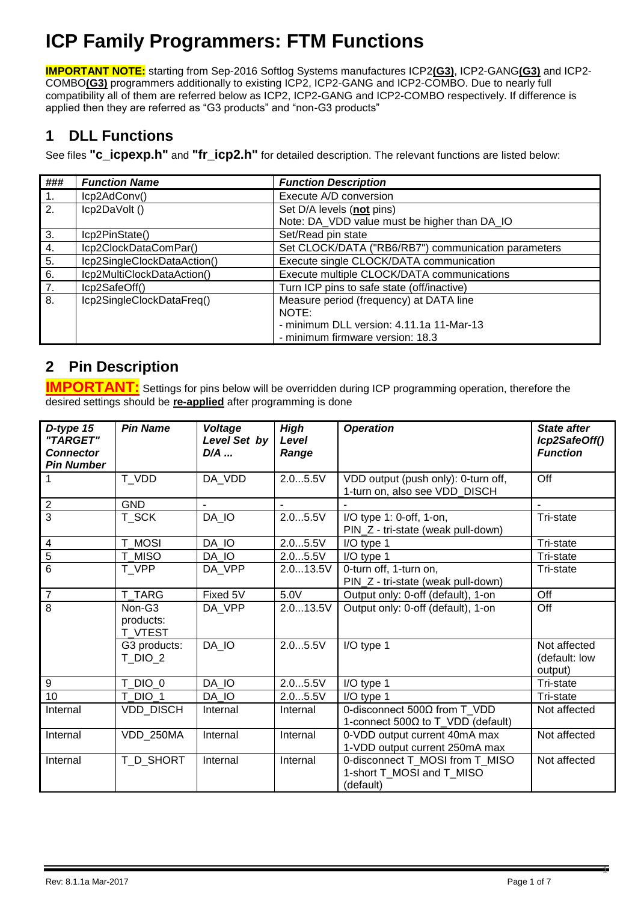# **ICP Family Programmers: FTM Functions**

**IMPORTANT NOTE:** starting from Sep-2016 Softlog Systems manufactures ICP2**(G3)**, ICP2-GANG**(G3)** and ICP2- COMBO**(G3)** programmers additionally to existing ICP2, ICP2-GANG and ICP2-COMBO. Due to nearly full compatibility all of them are referred below as ICP2, ICP2-GANG and ICP2-COMBO respectively. If difference is applied then they are referred as "G3 products" and "non-G3 products"

## **1 DLL Functions**

See files **"c\_icpexp.h"** and **"fr\_icp2.h"** for detailed description. The relevant functions are listed below:

| ###              | <b>Function Name</b>        | <b>Function Description</b>                         |
|------------------|-----------------------------|-----------------------------------------------------|
| $\mathbf{1}$ .   | Icp2AdConv()                | Execute A/D conversion                              |
| $\overline{2}$ . | Icp2DaVolt ()               | Set D/A levels (not pins)                           |
|                  |                             | Note: DA_VDD value must be higher than DA_IO        |
| 3.               | Icp2PinState()              | Set/Read pin state                                  |
| 4.               | Icp2ClockDataComPar()       | Set CLOCK/DATA ("RB6/RB7") communication parameters |
| 5.               | Icp2SingleClockDataAction() | Execute single CLOCK/DATA communication             |
| 6.               | Icp2MultiClockDataAction()  | Execute multiple CLOCK/DATA communications          |
| $\overline{7}$ . | Icp2SafeOff()               | Turn ICP pins to safe state (off/inactive)          |
| $\overline{8}$ . | Icp2SingleClockDataFreq()   | Measure period (frequency) at DATA line             |
|                  |                             | NOTE:                                               |
|                  |                             | - minimum DLL version: 4.11.1a 11-Mar-13            |
|                  |                             | - minimum firmware version: 18.3                    |

### **2 Pin Description**

**IMPORTANT:** Settings for pins below will be overridden during ICP programming operation, therefore the desired settings should be **re-applied** after programming is done

| $D$ -type 15<br>"TARGET"<br><b>Connector</b><br><b>Pin Number</b> | <b>Pin Name</b>                | Voltage<br>Level Set by<br>$D/A$ | <b>High</b><br>Level<br>Range | <b>Operation</b>                                                          | <b>State after</b><br>Icp2SafeOff()<br><b>Function</b> |
|-------------------------------------------------------------------|--------------------------------|----------------------------------|-------------------------------|---------------------------------------------------------------------------|--------------------------------------------------------|
|                                                                   | T_VDD                          | DA_VDD                           | 2.05.5V                       | VDD output (push only): 0-turn off,<br>1-turn on, also see VDD_DISCH      | Off                                                    |
| $\overline{2}$                                                    | <b>GND</b>                     |                                  |                               |                                                                           | ÷.                                                     |
| $\overline{3}$                                                    | T_SCK                          | DA_IO                            | 2.05.5V                       | I/O type 1: 0-off, 1-on,<br>PIN_Z - tri-state (weak pull-down)            | Tri-state                                              |
| $\overline{4}$                                                    | T_MOSI                         | DA_IO                            | 2.05.5V                       | I/O type 1                                                                | Tri-state                                              |
| $\overline{5}$                                                    | T MISO                         | DA IO                            | 2.05.5V                       | I/O type 1                                                                | Tri-state                                              |
| $\overline{6}$                                                    | T VPP                          | DA VPP                           | 2.013.5V                      | 0-turn off, 1-turn on,<br>PIN_Z - tri-state (weak pull-down)              | Tri-state                                              |
| $\overline{7}$                                                    | <b>T TARG</b>                  | Fixed 5V                         | 5.0V                          | Output only: 0-off (default), 1-on                                        | Off                                                    |
| 8                                                                 | Non-G3<br>products:<br>T_VTEST | DA_VPP                           | 2.013.5V                      | Output only: 0-off (default), 1-on                                        | Off                                                    |
|                                                                   | G3 products:<br>$T_DIO_2$      | DA IO                            | 2.05.5V                       | I/O type 1                                                                | Not affected<br>(default: low<br>output)               |
| $9\,$                                                             | T_DIO_0                        | DA_IO                            | 2.05.5V                       | I/O type 1                                                                | Tri-state                                              |
| 10                                                                | T_DIO_1                        | DA_IO                            | 2.05.5V                       | I/O type 1                                                                | Tri-state                                              |
| Internal                                                          | VDD_DISCH                      | Internal                         | Internal                      | 0-disconnect 500Ω from T VDD<br>1-connect 500 $\Omega$ to T VDD (default) | Not affected                                           |
| Internal                                                          | VDD 250MA                      | Internal                         | Internal                      | 0-VDD output current 40mA max<br>1-VDD output current 250mA max           | Not affected                                           |
| Internal                                                          | T D SHORT                      | Internal                         | Internal                      | 0-disconnect T_MOSI from T_MISO<br>1-short T_MOSI and T_MISO<br>(default) | Not affected                                           |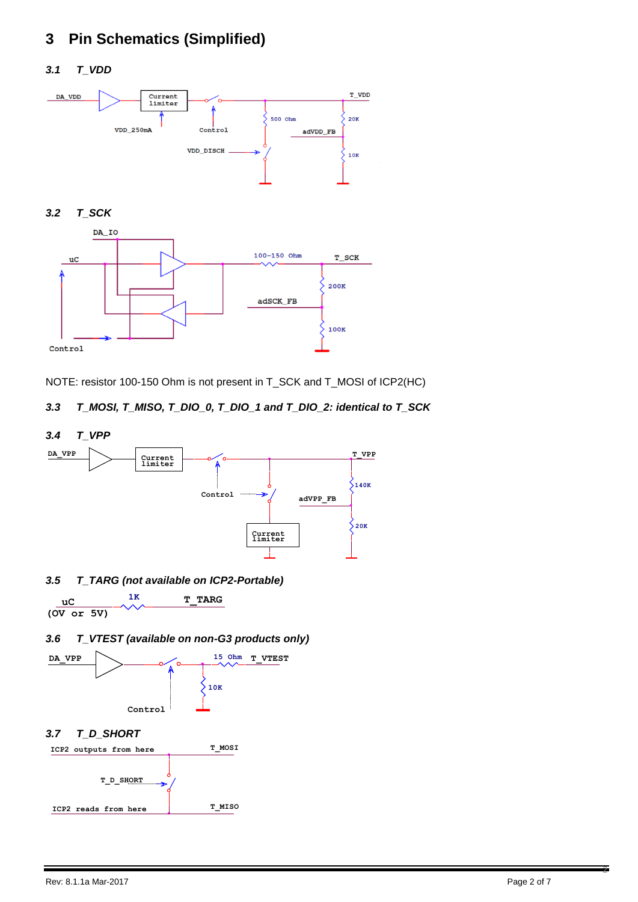## **3 Pin Schematics (Simplified)**

#### *3.1 T\_VDD*



*3.2 T\_SCK*



NOTE: resistor 100-150 Ohm is not present in T\_SCK and T\_MOSI of ICP2(HC)

### *3.3 T\_MOSI, T\_MISO, T\_DIO\_0, T\_DIO\_1 and T\_DIO\_2: identical to T\_SCK*



*3.5 T\_TARG (not available on ICP2-Portable)*

**1K (OV or 5V) uC**  $\begin{array}{ccc} 1K & T\_TARG \end{array}$ 





*3.7 T\_D\_SHORT*

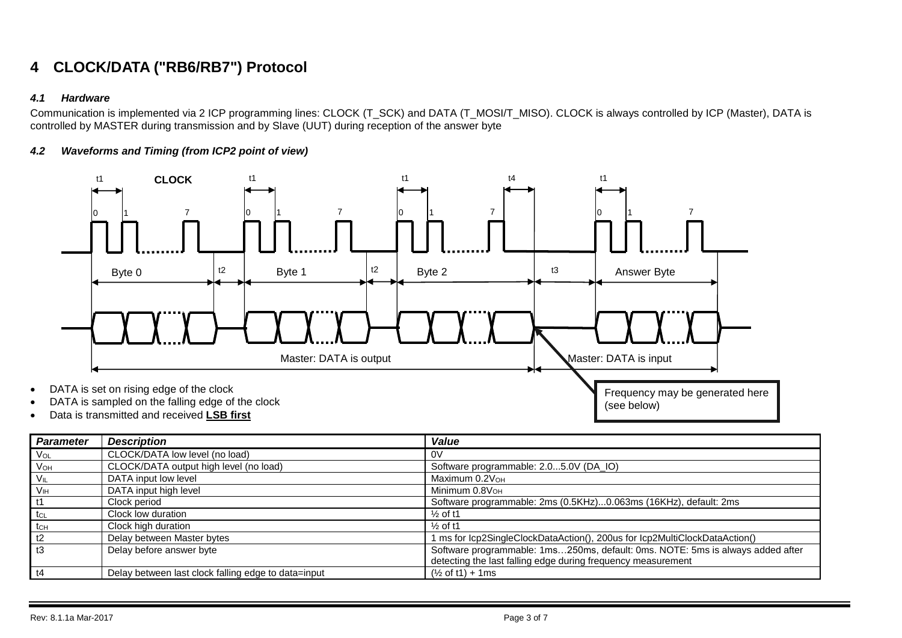### **4 CLOCK/DATA ("RB6/RB7") Protocol**

#### *4.1 Hardware*

Communication is implemented via 2 ICP programming lines: CLOCK (T\_SCK) and DATA (T\_MOSI/T\_MISO). CLOCK is always controlled by ICP (Master), DATA is controlled by MASTER during transmission and by Slave (UUT) during reception of the answer byte

#### *4.2 Waveforms and Timing (from ICP2 point of view)*



Data is transmitted and received **LSB first**

| <b>Parameter</b>            | <b>Description</b>                                  | Value                                                                          |
|-----------------------------|-----------------------------------------------------|--------------------------------------------------------------------------------|
| <b>VoL</b>                  | CLOCK/DATA low level (no load)                      | 0V                                                                             |
| <b>V<sub>OH</sub></b>       | CLOCK/DATA output high level (no load)              | Software programmable: 2.05.0V (DA_IO)                                         |
| $V_{IL}$                    | DATA input low level                                | Maximum 0.2V <sub>OH</sub>                                                     |
| V <sub>IH</sub>             | DATA input high level                               | Minimum $0.8V_{OH}$                                                            |
| t1                          | Clock period                                        | Software programmable: 2ms (0.5KHz)0.063ms (16KHz), default: 2ms               |
| tcL                         | Clock low duration                                  | $\frac{1}{2}$ of t1                                                            |
| $t_{CH}$                    | Clock high duration                                 | $\frac{1}{2}$ of t1                                                            |
| t2                          | Delay between Master bytes                          | ms for Icp2SingleClockDataAction(), 200us for Icp2MultiClockDataAction()       |
| $\overline{\phantom{1}}$ t3 | Delay before answer byte                            | Software programmable: 1ms250ms, default: 0ms. NOTE: 5ms is always added after |
|                             |                                                     | detecting the last falling edge during frequency measurement                   |
| $\frac{14}{3}$              | Delay between last clock falling edge to data=input | $(\frac{1}{2}$ of t1) + 1 ms                                                   |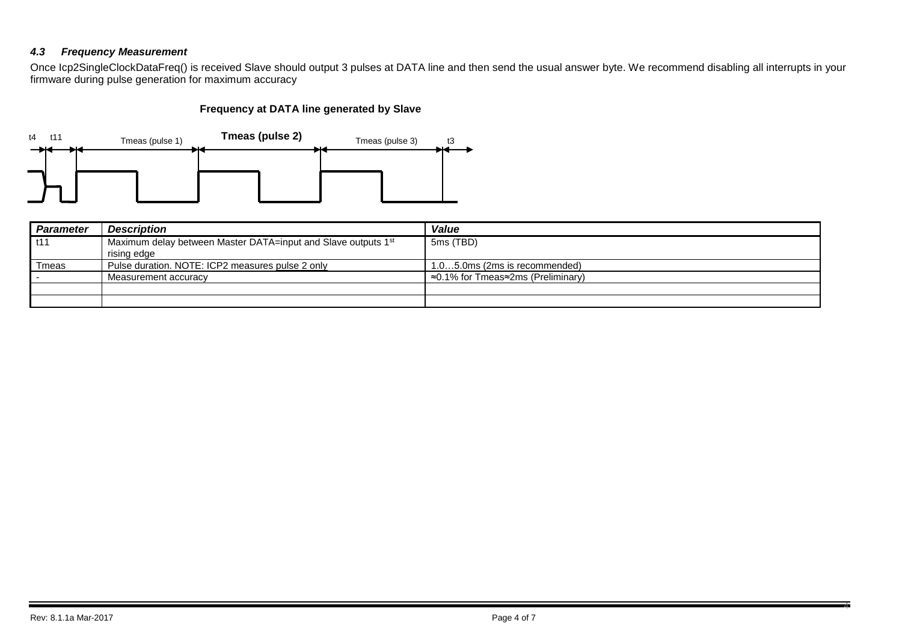#### *4.3 Frequency Measurement*

Once Icp2SingleClockDataFreq() is received Slave should output 3 pulses at DATA line and then send the usual answer byte. We recommend disabling all interrupts in your firmware during pulse generation for maximum accuracy

#### **Frequency at DATA line generated by Slave**



| Parameter | <b>Description</b>                                                        | Value                                      |
|-----------|---------------------------------------------------------------------------|--------------------------------------------|
| l t11     | Maximum delay between Master DATA=input and Slave outputs 1 <sup>st</sup> | 5ms (TBD)                                  |
|           | rising edge                                                               |                                            |
| Tmeas     | Pulse duration. NOTE: ICP2 measures pulse 2 only                          | 1.05.0ms (2ms is recommended)              |
|           | Measurement accuracy                                                      | $\approx$ 0.1% for Tmeas≈2ms (Preliminary) |
|           |                                                                           |                                            |
|           |                                                                           |                                            |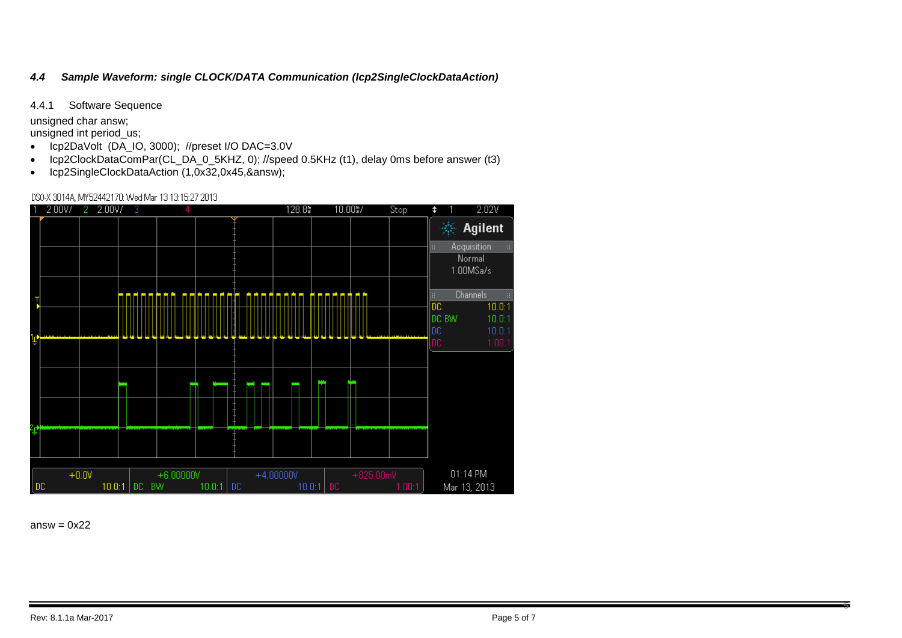#### *4.4 Sample Waveform: single CLOCK/DATA Communication (Icp2SingleClockDataAction)*

4.4.1 Software Sequence

unsigned char answ;

unsigned int period\_us;

- Icp2DaVolt (DA\_IO, 3000); //preset I/O DAC=3.0V
- Icp2ClockDataComPar(CL\_DA\_0\_5KHZ, 0); //speed 0.5KHz (t1), delay 0ms before answer (t3)
- Icp2SingleClockDataAction (1,0x32,0x45,&answ);

DS0-X 3014A, MY52442170: Wed Mar 13 13:15:27 2013



answ  $= 0x22$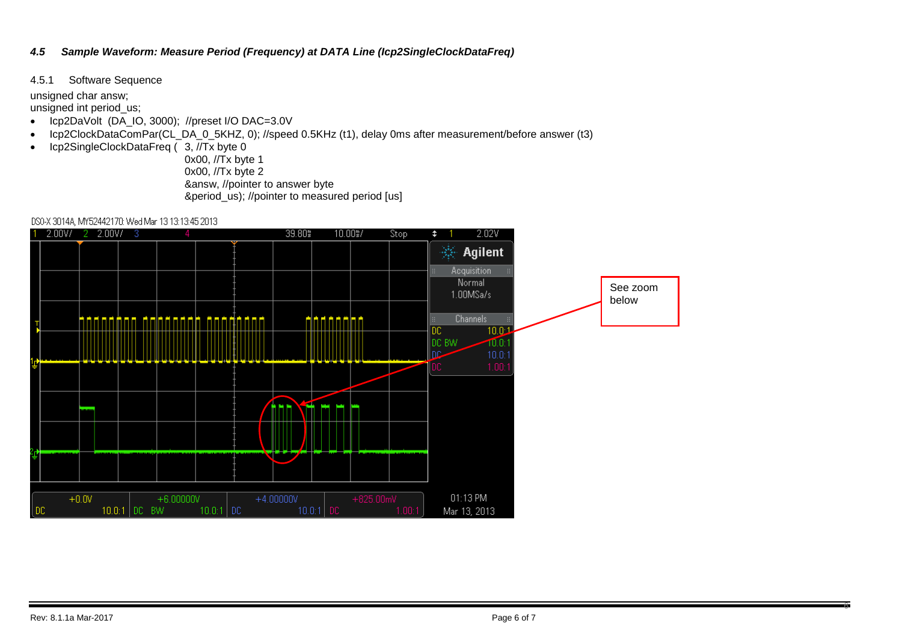#### *4.5 Sample Waveform: Measure Period (Frequency) at DATA Line (Icp2SingleClockDataFreq)*

4.5.1 Software Sequence

unsigned char answ;

unsigned int period us;

- Icp2DaVolt (DA\_IO, 3000); //preset I/O DAC=3.0V
- Icp2ClockDataComPar(CL\_DA\_0\_5KHZ, 0); //speed 0.5KHz (t1), delay 0ms after measurement/before answer (t3)
- Icp2SingleClockDataFreq ( 3, //Tx byte 0

0x00, //Tx byte 1 0x00, //Tx byte 2 &answ, //pointer to answer byte &period us); //pointer to measured period [us]

DS0-X 3014A, MY52442170: Wed Mar 13 13:13:45 2013